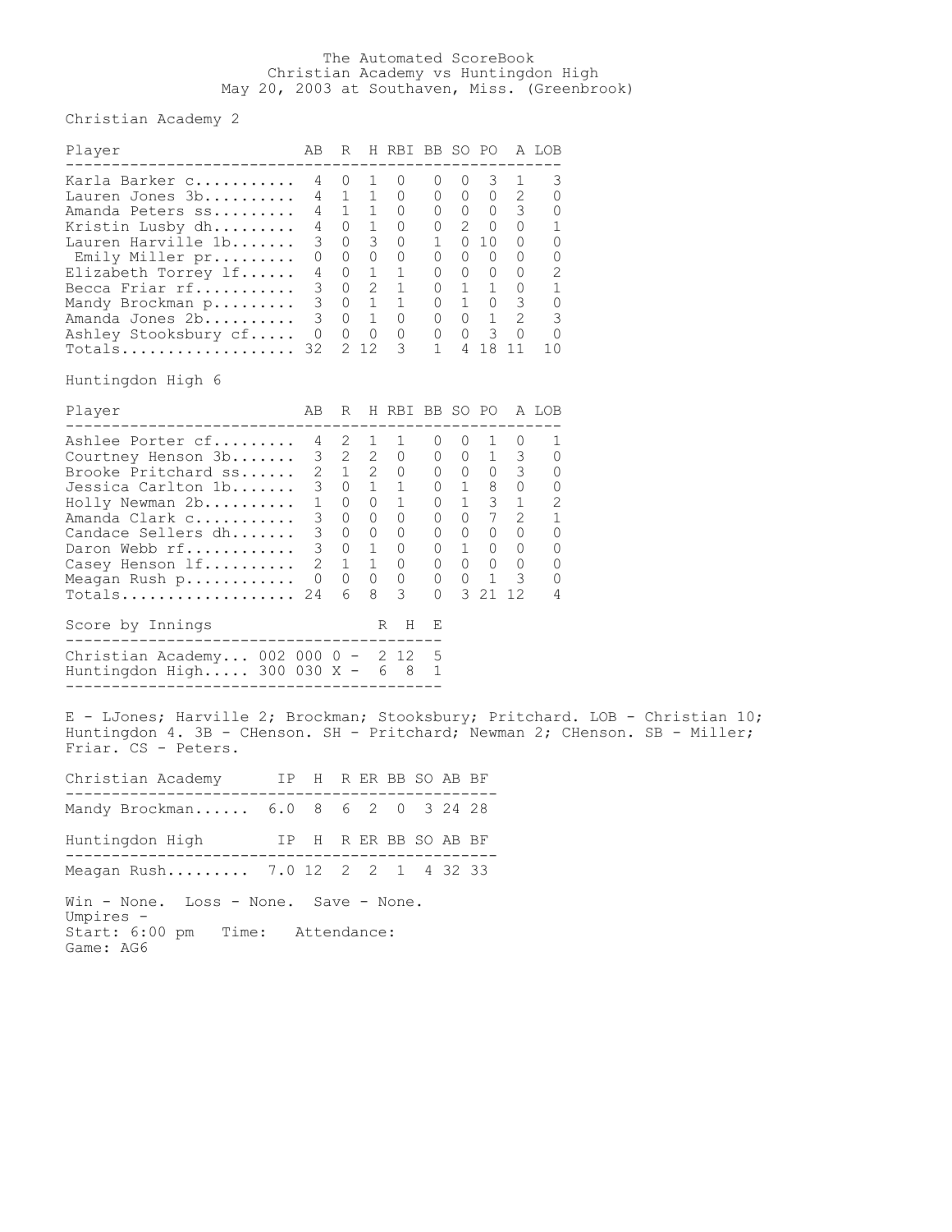## The Automated ScoreBook Christian Academy vs Huntingdon High May 20, 2003 at Southaven, Miss. (Greenbrook)

Christian Academy 2

| Player                                                                                                                                                      | AB                                          | R                                                                         |                                                                                                   | H RBI BB SO PO                                                          |                                                                                           |                                                                                                                |                                                                                     |                                                                    | A LOB   |
|-------------------------------------------------------------------------------------------------------------------------------------------------------------|---------------------------------------------|---------------------------------------------------------------------------|---------------------------------------------------------------------------------------------------|-------------------------------------------------------------------------|-------------------------------------------------------------------------------------------|----------------------------------------------------------------------------------------------------------------|-------------------------------------------------------------------------------------|--------------------------------------------------------------------|---------|
| Karla Barker C<br>Lauren Jones 3b<br>Amanda Peters ss<br>Kristin Lusby dh<br>Lauren Harville 1b<br>Emily Miller pr<br>Elizabeth Torrey lf<br>Becca Friar rf | 4<br>4<br>4<br>4<br>3<br>$\Omega$<br>4<br>3 | $\Omega$<br>1<br>$\Omega$<br>$\Omega$<br>$\Omega$<br>$\Omega$<br>$\Omega$ | $\overline{1}$<br>$1 \quad 1$<br>$\mathbf{1}$<br>3<br>$\Omega$<br>$\overline{1}$<br>$\mathcal{L}$ | $\left( \right)$<br>0<br>0<br>$\Omega$<br>$\Omega$<br>0<br>$\mathbf{1}$ | 0<br>$\Omega$<br>$\Omega$<br>$\Omega$<br>$\mathbf{1}$<br>$\Omega$<br>$\Omega$<br>$\Omega$ | $\left( \right)$<br>$\Omega$<br>$\Omega$<br>$\mathfrak{D}$<br>$\Omega$<br>$\Omega$<br>$\Omega$<br>$\mathbf{1}$ | 3<br>$\Omega$<br>$\Omega$<br>$\Omega$<br>10<br>$\Omega$<br>$\Omega$<br>$\mathbf{1}$ | 2<br>3<br>$\Omega$<br>$\Omega$<br>$\Omega$<br>$\Omega$<br>$\Omega$ |         |
| Mandy Brockman p<br>Amanda Jones 2b<br>Ashley Stooksbury cf<br>Totals<br>Huntingdon High 6                                                                  | 3<br>$\mathcal{E}$<br>$\Omega$<br>32        | $\Omega$<br>$\Omega$<br>$\Omega$                                          | $\overline{1}$<br>$\overline{1}$<br>$\bigcirc$<br>2 12                                            | $\Omega$<br>$\Omega$<br>3                                               | $\Omega$<br>$\Omega$<br>$\Omega$<br>$\mathbf{1}$                                          | $\mathbf{1}$<br>$\Omega$<br>$\Omega$<br>4                                                                      | $\Omega$<br>1<br>$\overline{\mathbf{3}}$<br>18                                      | 3<br>$\mathcal{L}$<br>$\Omega$<br>11                               | 0<br>10 |

| Player                                                                                                                   | AB                                                   | R                                                                           |                                                                                | H RBI BB SO PO                 |                                                               |                                                                               |                                       |                                                      | A LOB                 |
|--------------------------------------------------------------------------------------------------------------------------|------------------------------------------------------|-----------------------------------------------------------------------------|--------------------------------------------------------------------------------|--------------------------------|---------------------------------------------------------------|-------------------------------------------------------------------------------|---------------------------------------|------------------------------------------------------|-----------------------|
| Ashlee Porter cf<br>Courtney Henson 3b<br>Brooke Pritchard ss<br>Jessica Carlton 1b<br>Holly Newman 2b<br>Amanda Clark c | 4<br>3<br>$\mathcal{D}_{\mathcal{L}}$<br>3<br>1<br>3 | $\mathcal{L}$<br>$\mathcal{L}$<br>$\mathbf{1}$<br>$\Omega$<br>0<br>$\Omega$ | $\mathbf{1}$<br>2<br>$\mathcal{L}$<br>$\mathbf{1}$<br>$\Omega$<br>$\mathbf{0}$ | 1<br>$\Omega$<br>$\Omega$<br>0 | 0<br>$\Omega$<br>$\Omega$<br>$\Omega$<br>$\Omega$<br>$\Omega$ | $\left( \right)$<br>0<br>$\Omega$<br>$\mathbf{1}$<br>$\mathbf{1}$<br>$\Omega$ | 1<br>$\Omega$<br>8<br>3<br>7          | $\left( \right)$<br>3<br>3<br>0<br>$\mathcal{L}$     | Λ<br>0<br>0<br>2      |
| Candace Sellers dh<br>Daron Webb rf<br>Casey Henson If<br>Meagan Rush p<br>Totals                                        | 3<br>3<br>2<br>$\Omega$<br>24                        | 0<br>$\Omega$<br>1<br>0<br>6                                                | 0<br>$\mathbf{1}$<br>$\mathbf{1}$<br>0<br>8                                    | 0<br>0<br>0<br>0<br>3          | $\Omega$<br>$\Omega$<br>0<br>0<br>$\Omega$                    | 0<br>$\mathbf{1}$<br>0<br>3                                                   | 0<br>$\Omega$<br>0<br>$0\quad1$<br>21 | $\Omega$<br>0<br>0<br>$\overline{\phantom{a}}$<br>12 | U<br>U<br>0<br>U<br>4 |
| Score by Innings                                                                                                         |                                                      |                                                                             |                                                                                | Н<br>R                         | F.                                                            |                                                                               |                                       |                                                      |                       |
| Christian Academy 002 000<br>Huntingdon High 300 030 X -                                                                 |                                                      | $0 -$                                                                       | - 6                                                                            | 2 12<br>8                      | .5<br>1                                                       |                                                                               |                                       |                                                      |                       |

E - LJones; Harville 2; Brockman; Stooksbury; Pritchard. LOB - Christian 10; Huntingdon 4. 3B - CHenson. SH - Pritchard; Newman 2; CHenson. SB - Miller; Friar. CS - Peters.

| Christian Academy IP H R ER BB SO AB BF              |                       |  |  |  |  |  |  |  |  |
|------------------------------------------------------|-----------------------|--|--|--|--|--|--|--|--|
| Mandy Brockman 6.0 8 6 2 0 3 24 28                   |                       |  |  |  |  |  |  |  |  |
| Huntingdon High                                      | IP H R ER BB SO AB BF |  |  |  |  |  |  |  |  |
| Meagan Rush 7.0 12 2 2 1 4 32 33                     |                       |  |  |  |  |  |  |  |  |
| Win - None. Loss - None. Save - None.<br>Umpires $-$ |                       |  |  |  |  |  |  |  |  |

Start: 6:00 pm Time: Attendance: Game: AG6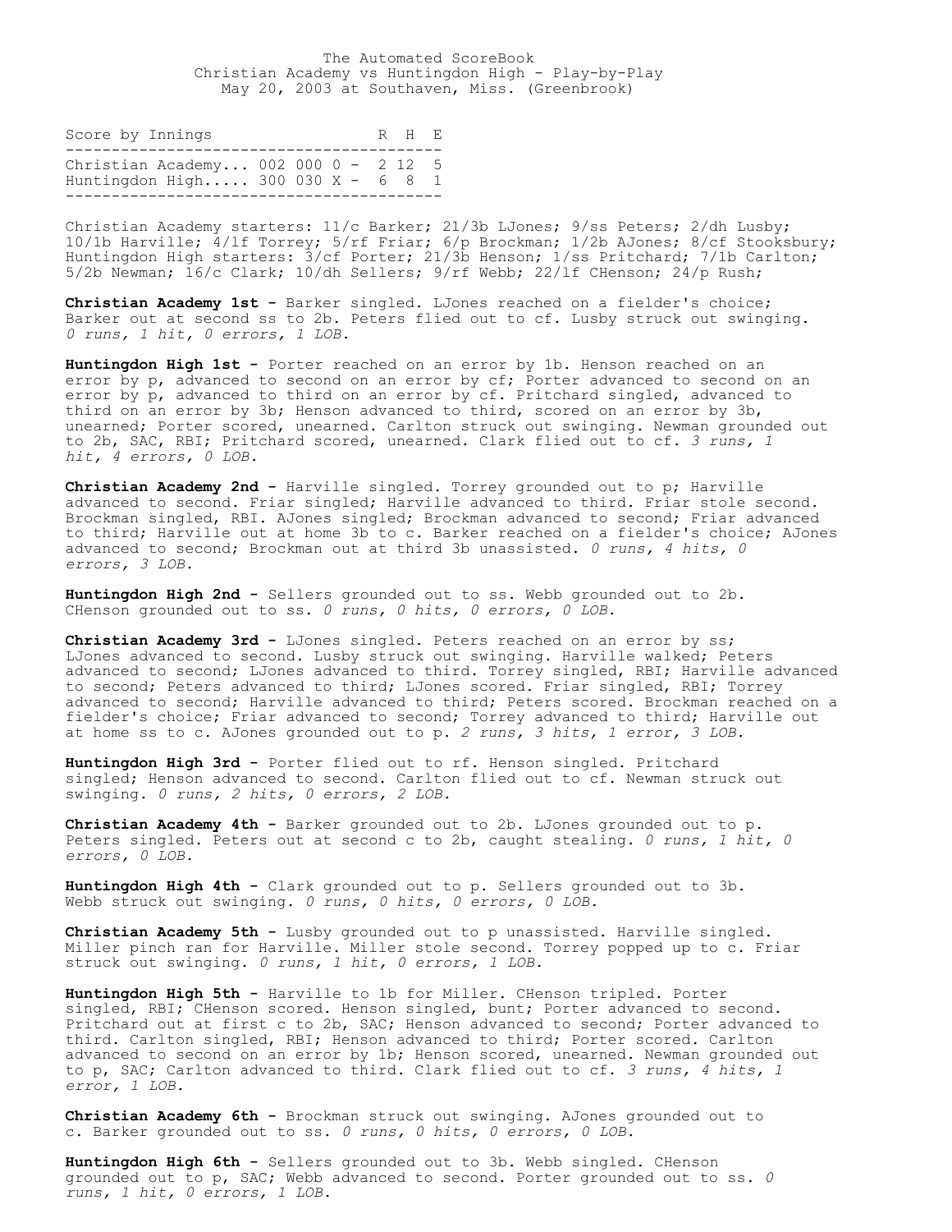The Automated ScoreBook Christian Academy vs Huntingdon High - Play-by-Play May 20, 2003 at Southaven, Miss. (Greenbrook)

| Score by Innings                                                         |  |  | R H F. |  |
|--------------------------------------------------------------------------|--|--|--------|--|
| Christian Academy 002 000 0 - 2 12 5<br>Huntingdon High 300 030 $X - 68$ |  |  |        |  |

Christian Academy starters: 11/c Barker; 21/3b LJones; 9/ss Peters; 2/dh Lusby; 10/1b Harville; 4/lf Torrey; 5/rf Friar; 6/p Brockman; 1/2b AJones; 8/cf Stooksbury; Huntingdon High starters: 3/cf Porter; 21/3b Henson; 1/ss Pritchard; 7/1b Carlton; 5/2b Newman; 16/c Clark; 10/dh Sellers; 9/rf Webb; 22/lf CHenson; 24/p Rush;

**Christian Academy 1st -** Barker singled. LJones reached on a fielder's choice; Barker out at second ss to 2b. Peters flied out to cf. Lusby struck out swinging. *0 runs, 1 hit, 0 errors, 1 LOB.*

**Huntingdon High 1st -** Porter reached on an error by 1b. Henson reached on an error by p, advanced to second on an error by cf; Porter advanced to second on an error by p, advanced to third on an error by cf. Pritchard singled, advanced to third on an error by 3b; Henson advanced to third, scored on an error by 3b, unearned; Porter scored, unearned. Carlton struck out swinging. Newman grounded out to 2b, SAC, RBI; Pritchard scored, unearned. Clark flied out to cf. *3 runs, 1 hit, 4 errors, 0 LOB.*

**Christian Academy 2nd -** Harville singled. Torrey grounded out to p; Harville advanced to second. Friar singled; Harville advanced to third. Friar stole second. Brockman singled, RBI. AJones singled; Brockman advanced to second; Friar advanced to third; Harville out at home 3b to c. Barker reached on a fielder's choice; AJones advanced to second; Brockman out at third 3b unassisted. *0 runs, 4 hits, 0 errors, 3 LOB.*

**Huntingdon High 2nd -** Sellers grounded out to ss. Webb grounded out to 2b. CHenson grounded out to ss. *0 runs, 0 hits, 0 errors, 0 LOB.*

**Christian Academy 3rd -** LJones singled. Peters reached on an error by ss; LJones advanced to second. Lusby struck out swinging. Harville walked; Peters advanced to second; LJones advanced to third. Torrey singled, RBI; Harville advanced to second; Peters advanced to third; LJones scored. Friar singled, RBI; Torrey advanced to second; Harville advanced to third; Peters scored. Brockman reached on a fielder's choice; Friar advanced to second; Torrey advanced to third; Harville out at home ss to c. AJones grounded out to p. *2 runs, 3 hits, 1 error, 3 LOB.*

**Huntingdon High 3rd -** Porter flied out to rf. Henson singled. Pritchard singled; Henson advanced to second. Carlton flied out to cf. Newman struck out swinging. *0 runs, 2 hits, 0 errors, 2 LOB.*

**Christian Academy 4th -** Barker grounded out to 2b. LJones grounded out to p. Peters singled. Peters out at second c to 2b, caught stealing. *0 runs, 1 hit, 0 errors, 0 LOB.*

**Huntingdon High 4th -** Clark grounded out to p. Sellers grounded out to 3b. Webb struck out swinging. *0 runs, 0 hits, 0 errors, 0 LOB.*

**Christian Academy 5th -** Lusby grounded out to p unassisted. Harville singled. Miller pinch ran for Harville. Miller stole second. Torrey popped up to c. Friar struck out swinging. *0 runs, 1 hit, 0 errors, 1 LOB.*

**Huntingdon High 5th -** Harville to 1b for Miller. CHenson tripled. Porter singled, RBI; CHenson scored. Henson singled, bunt; Porter advanced to second. Pritchard out at first c to 2b, SAC; Henson advanced to second; Porter advanced to third. Carlton singled, RBI; Henson advanced to third; Porter scored. Carlton advanced to second on an error by 1b; Henson scored, unearned. Newman grounded out to p, SAC; Carlton advanced to third. Clark flied out to cf. *3 runs, 4 hits, 1 error, 1 LOB.*

**Christian Academy 6th -** Brockman struck out swinging. AJones grounded out to c. Barker grounded out to ss. *0 runs, 0 hits, 0 errors, 0 LOB.*

**Huntingdon High 6th -** Sellers grounded out to 3b. Webb singled. CHenson grounded out to p, SAC; Webb advanced to second. Porter grounded out to ss. *0 runs, 1 hit, 0 errors, 1 LOB.*